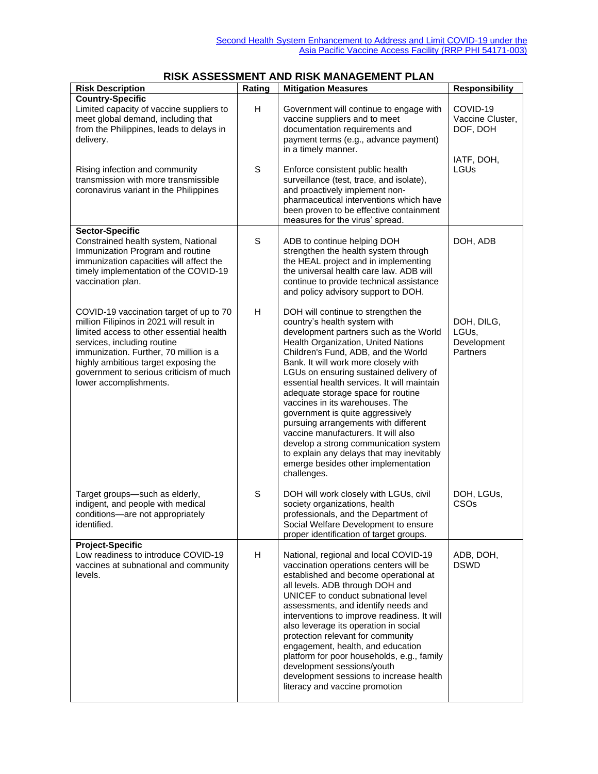## **RISK ASSESSMENT AND RISK MANAGEMENT PLAN**

| <b>Risk Description</b>                                                                                                                                                                                                                                                                                               | Rating | <b>Mitigation Measures</b>                                                                                                                                                                                                                                                                                                                                                                                                                                                                                                                                                                                                                                           | <b>Responsibility</b>                                                 |
|-----------------------------------------------------------------------------------------------------------------------------------------------------------------------------------------------------------------------------------------------------------------------------------------------------------------------|--------|----------------------------------------------------------------------------------------------------------------------------------------------------------------------------------------------------------------------------------------------------------------------------------------------------------------------------------------------------------------------------------------------------------------------------------------------------------------------------------------------------------------------------------------------------------------------------------------------------------------------------------------------------------------------|-----------------------------------------------------------------------|
| <b>Country-Specific</b><br>Limited capacity of vaccine suppliers to<br>meet global demand, including that<br>from the Philippines, leads to delays in<br>delivery.                                                                                                                                                    | H      | Government will continue to engage with<br>vaccine suppliers and to meet<br>documentation requirements and<br>payment terms (e.g., advance payment)<br>in a timely manner.                                                                                                                                                                                                                                                                                                                                                                                                                                                                                           | COVID-19<br>Vaccine Cluster,<br>DOF, DOH<br>IATF, DOH,<br><b>LGUs</b> |
| Rising infection and community<br>transmission with more transmissible<br>coronavirus variant in the Philippines                                                                                                                                                                                                      | S      | Enforce consistent public health<br>surveillance (test, trace, and isolate),<br>and proactively implement non-<br>pharmaceutical interventions which have<br>been proven to be effective containment<br>measures for the virus' spread.                                                                                                                                                                                                                                                                                                                                                                                                                              |                                                                       |
| <b>Sector-Specific</b><br>Constrained health system, National<br>Immunization Program and routine<br>immunization capacities will affect the<br>timely implementation of the COVID-19<br>vaccination plan.                                                                                                            | S      | ADB to continue helping DOH<br>strengthen the health system through<br>the HEAL project and in implementing<br>the universal health care law. ADB will<br>continue to provide technical assistance<br>and policy advisory support to DOH.                                                                                                                                                                                                                                                                                                                                                                                                                            | DOH, ADB                                                              |
| COVID-19 vaccination target of up to 70<br>million Filipinos in 2021 will result in<br>limited access to other essential health<br>services, including routine<br>immunization. Further, 70 million is a<br>highly ambitious target exposing the<br>government to serious criticism of much<br>lower accomplishments. | H      | DOH will continue to strengthen the<br>country's health system with<br>development partners such as the World<br>Health Organization, United Nations<br>Children's Fund, ADB, and the World<br>Bank. It will work more closely with<br>LGUs on ensuring sustained delivery of<br>essential health services. It will maintain<br>adequate storage space for routine<br>vaccines in its warehouses. The<br>government is quite aggressively<br>pursuing arrangements with different<br>vaccine manufacturers. It will also<br>develop a strong communication system<br>to explain any delays that may inevitably<br>emerge besides other implementation<br>challenges. | DOH, DILG,<br>LGUs.<br>Development<br>Partners                        |
| Target groups-such as elderly,<br>indigent, and people with medical<br>conditions-are not appropriately<br>identified.                                                                                                                                                                                                | S      | DOH will work closely with LGUs, civil<br>society organizations, health<br>professionals, and the Department of<br>Social Welfare Development to ensure<br>proper identification of target groups.                                                                                                                                                                                                                                                                                                                                                                                                                                                                   | DOH, LGUs,<br>CSO <sub>s</sub>                                        |
| <b>Project-Specific</b><br>Low readiness to introduce COVID-19<br>vaccines at subnational and community<br>levels.                                                                                                                                                                                                    | H      | National, regional and local COVID-19<br>vaccination operations centers will be<br>established and become operational at<br>all levels. ADB through DOH and<br>UNICEF to conduct subnational level<br>assessments, and identify needs and<br>interventions to improve readiness. It will<br>also leverage its operation in social<br>protection relevant for community<br>engagement, health, and education<br>platform for poor households, e.g., family<br>development sessions/youth<br>development sessions to increase health<br>literacy and vaccine promotion                                                                                                 | ADB, DOH,<br><b>DSWD</b>                                              |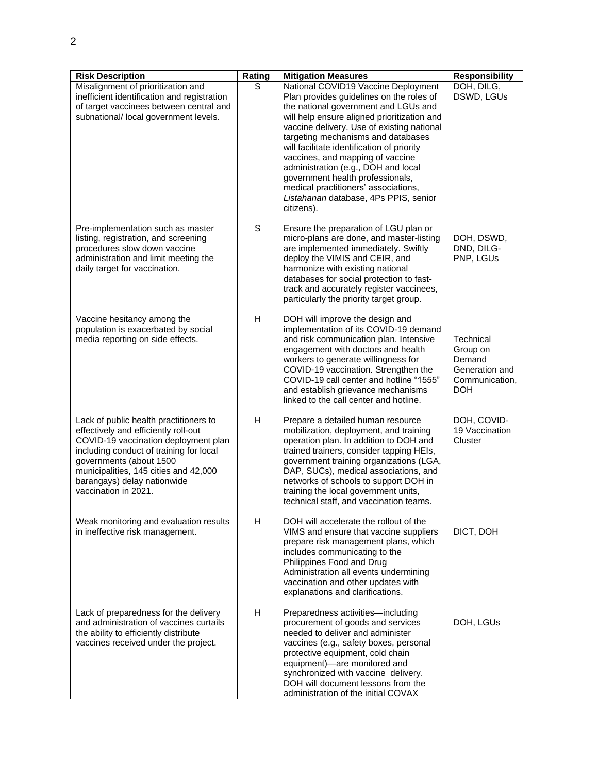| <b>Risk Description</b>                                                                                                                                                                                                                                                                      | Rating      | <b>Mitigation Measures</b>                                                                                                                                                                                                                                                                                                                                                                                                                                                                                             | <b>Responsibility</b>                                                             |
|----------------------------------------------------------------------------------------------------------------------------------------------------------------------------------------------------------------------------------------------------------------------------------------------|-------------|------------------------------------------------------------------------------------------------------------------------------------------------------------------------------------------------------------------------------------------------------------------------------------------------------------------------------------------------------------------------------------------------------------------------------------------------------------------------------------------------------------------------|-----------------------------------------------------------------------------------|
| Misalignment of prioritization and<br>inefficient identification and registration<br>of target vaccinees between central and<br>subnational/ local government levels.                                                                                                                        | S           | National COVID19 Vaccine Deployment<br>Plan provides guidelines on the roles of<br>the national government and LGUs and<br>will help ensure aligned prioritization and<br>vaccine delivery. Use of existing national<br>targeting mechanisms and databases<br>will facilitate identification of priority<br>vaccines, and mapping of vaccine<br>administration (e.g., DOH and local<br>government health professionals,<br>medical practitioners' associations,<br>Listahanan database, 4Ps PPIS, senior<br>citizens). | DOH, DILG,<br>DSWD, LGUs                                                          |
| Pre-implementation such as master<br>listing, registration, and screening<br>procedures slow down vaccine<br>administration and limit meeting the<br>daily target for vaccination.                                                                                                           | $\mathbf S$ | Ensure the preparation of LGU plan or<br>micro-plans are done, and master-listing<br>are implemented immediately. Swiftly<br>deploy the VIMIS and CEIR, and<br>harmonize with existing national<br>databases for social protection to fast-<br>track and accurately register vaccinees,<br>particularly the priority target group.                                                                                                                                                                                     | DOH, DSWD,<br>DND, DILG-<br>PNP, LGUs                                             |
| Vaccine hesitancy among the<br>population is exacerbated by social<br>media reporting on side effects.                                                                                                                                                                                       | H           | DOH will improve the design and<br>implementation of its COVID-19 demand<br>and risk communication plan. Intensive<br>engagement with doctors and health<br>workers to generate willingness for<br>COVID-19 vaccination. Strengthen the<br>COVID-19 call center and hotline "1555"<br>and establish grievance mechanisms<br>linked to the call center and hotline.                                                                                                                                                     | Technical<br>Group on<br>Demand<br>Generation and<br>Communication,<br><b>DOH</b> |
| Lack of public health practitioners to<br>effectively and efficiently roll-out<br>COVID-19 vaccination deployment plan<br>including conduct of training for local<br>governments (about 1500<br>municipalities, 145 cities and 42,000<br>barangays) delay nationwide<br>vaccination in 2021. | H           | Prepare a detailed human resource<br>mobilization, deployment, and training<br>operation plan. In addition to DOH and<br>trained trainers, consider tapping HEIs,<br>government training organizations (LGA,<br>DAP, SUCs), medical associations, and<br>networks of schools to support DOH in<br>training the local government units,<br>technical staff, and vaccination teams.                                                                                                                                      | DOH, COVID-<br>19 Vaccination<br>Cluster                                          |
| Weak monitoring and evaluation results<br>in ineffective risk management.                                                                                                                                                                                                                    | H           | DOH will accelerate the rollout of the<br>VIMS and ensure that vaccine suppliers<br>prepare risk management plans, which<br>includes communicating to the<br>Philippines Food and Drug<br>Administration all events undermining<br>vaccination and other updates with<br>explanations and clarifications.                                                                                                                                                                                                              | DICT, DOH                                                                         |
| Lack of preparedness for the delivery<br>and administration of vaccines curtails<br>the ability to efficiently distribute<br>vaccines received under the project.                                                                                                                            | H           | Preparedness activities-including<br>procurement of goods and services<br>needed to deliver and administer<br>vaccines (e.g., safety boxes, personal<br>protective equipment, cold chain<br>equipment)-are monitored and<br>synchronized with vaccine delivery.<br>DOH will document lessons from the<br>administration of the initial COVAX                                                                                                                                                                           | DOH, LGUs                                                                         |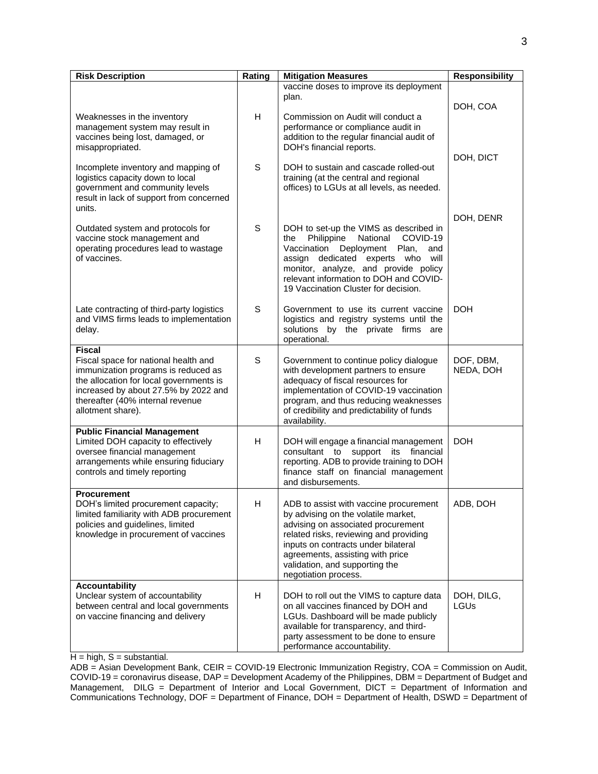| <b>Risk Description</b>                                                                                                                                                                                                                  | Rating | <b>Mitigation Measures</b>                                                                                                                                                                                                                                                                         | <b>Responsibility</b>  |
|------------------------------------------------------------------------------------------------------------------------------------------------------------------------------------------------------------------------------------------|--------|----------------------------------------------------------------------------------------------------------------------------------------------------------------------------------------------------------------------------------------------------------------------------------------------------|------------------------|
|                                                                                                                                                                                                                                          |        | vaccine doses to improve its deployment<br>plan.                                                                                                                                                                                                                                                   | DOH, COA               |
| Weaknesses in the inventory<br>management system may result in<br>vaccines being lost, damaged, or<br>misappropriated.                                                                                                                   | H      | Commission on Audit will conduct a<br>performance or compliance audit in<br>addition to the regular financial audit of<br>DOH's financial reports.                                                                                                                                                 |                        |
| Incomplete inventory and mapping of<br>logistics capacity down to local<br>government and community levels<br>result in lack of support from concerned<br>units.                                                                         | S      | DOH to sustain and cascade rolled-out<br>training (at the central and regional<br>offices) to LGUs at all levels, as needed.                                                                                                                                                                       | DOH, DICT              |
| Outdated system and protocols for<br>vaccine stock management and<br>operating procedures lead to wastage<br>of vaccines.                                                                                                                | S      | DOH to set-up the VIMS as described in<br>Philippine<br>National COVID-19<br>the<br>Vaccination Deployment Plan,<br>and<br>assign dedicated experts who will<br>monitor, analyze, and provide policy<br>relevant information to DOH and COVID-<br>19 Vaccination Cluster for decision.             | DOH, DENR              |
| Late contracting of third-party logistics<br>and VIMS firms leads to implementation<br>delay.                                                                                                                                            | S      | Government to use its current vaccine<br>logistics and registry systems until the<br>solutions by the private firms are<br>operational.                                                                                                                                                            | <b>DOH</b>             |
| <b>Fiscal</b><br>Fiscal space for national health and<br>immunization programs is reduced as<br>the allocation for local governments is<br>increased by about 27.5% by 2022 and<br>thereafter (40% internal revenue<br>allotment share). | S      | Government to continue policy dialogue<br>with development partners to ensure<br>adequacy of fiscal resources for<br>implementation of COVID-19 vaccination<br>program, and thus reducing weaknesses<br>of credibility and predictability of funds<br>availability.                                | DOF, DBM,<br>NEDA, DOH |
| <b>Public Financial Management</b><br>Limited DOH capacity to effectively<br>oversee financial management<br>arrangements while ensuring fiduciary<br>controls and timely reporting                                                      | H      | DOH will engage a financial management<br>consultant to support its financial<br>reporting. ADB to provide training to DOH<br>finance staff on financial management<br>and disbursements.                                                                                                          | <b>DOH</b>             |
| <b>Procurement</b><br>DOH's limited procurement capacity;<br>limited familiarity with ADB procurement<br>policies and guidelines, limited<br>knowledge in procurement of vaccines                                                        | H      | ADB to assist with vaccine procurement<br>by advising on the volatile market,<br>advising on associated procurement<br>related risks, reviewing and providing<br>inputs on contracts under bilateral<br>agreements, assisting with price<br>validation, and supporting the<br>negotiation process. | ADB, DOH               |
| <b>Accountability</b><br>Unclear system of accountability<br>between central and local governments<br>on vaccine financing and delivery                                                                                                  | H      | DOH to roll out the VIMS to capture data<br>on all vaccines financed by DOH and<br>LGUs. Dashboard will be made publicly<br>available for transparency, and third-<br>party assessment to be done to ensure<br>performance accountability.                                                         | DOH, DILG,<br>LGUs     |

 $H = high$ ,  $S = substantial$ .

ADB = Asian Development Bank, CEIR = COVID-19 Electronic Immunization Registry, COA = Commission on Audit, COVID-19 = coronavirus disease, DAP = Development Academy of the Philippines, DBM = Department of Budget and Management, DILG = Department of Interior and Local Government, DICT = Department of Information and Communications Technology, DOF = Department of Finance, DOH = Department of Health, DSWD = Department of